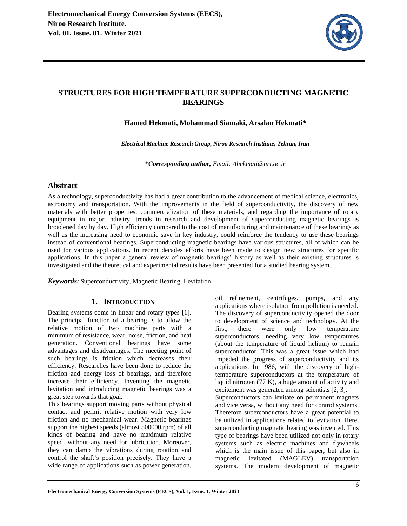

# **STRUCTURES FOR HIGH TEMPERATURE SUPERCONDUCTING MAGNETIC BEARINGS**

**Hamed Hekmati, Mohammad Siamaki, Arsalan Hekmati\*** 

*Electrical Machine Research Group, Niroo Research Institute, Tehran, Iran* 

\**Corresponding author, Email: Ahekmati@nri.ac.ir*

### **Abstract**

As a technology, superconductivity has had a great contribution to the advancement of medical science, electronics, astronomy and transportation. With the improvements in the field of superconductivity, the discovery of new materials with better properties, commercialization of these materials, and regarding the importance of rotary equipment in major industry, trends in research and development of superconducting magnetic bearings is broadened day by day. High efficiency compared to the cost of manufacturing and maintenance of these bearings as well as the increasing need to economic save in key industry, could reinforce the tendency to use these bearings instead of conventional bearings. Superconducting magnetic bearings have various structures, all of which can be used for various applications. In recent decades efforts have been made to design new structures for specific applications. In this paper a general review of magnetic bearings' history as well as their existing structures is investigated and the theoretical and experimental results have been presented for a studied bearing system.

*Keywords:* Superconductivity, Magnetic Bearing, Levitation

#### **1. INTRODUCTION**

Bearing systems come in linear and rotary types [1]. The principal function of a bearing is to allow the relative motion of two machine parts with a minimum of resistance, wear, noise, friction, and heat generation. Conventional bearings have some advantages and disadvantages. The meeting point of such bearings is friction which decreases their efficiency. Researches have been done to reduce the friction and energy loss of bearings, and therefore increase their efficiency. Inventing the magnetic levitation and introducing magnetic bearings was a great step towards that goal.

This bearings support moving parts without physical contact and permit relative motion with very low friction and no mechanical wear. Magnetic bearings support the highest speeds (almost 500000 rpm) of all kinds of bearing and have no maximum relative speed, without any need for lubrication. Moreover, they can damp the vibrations during rotation and control the shaft's position precisely. They have a wide range of applications such as power generation,

oil refinement, centrifuges, pumps, and any applications where isolation from pollution is needed. The discovery of superconductivity opened the door to development of science and technology. At the first, there were only low temperature superconductors, needing very low temperatures (about the temperature of liquid helium) to remain superconductor. This was a great issue which had impeded the progress of superconductivity and its applications. In 1986, with the discovery of hightemperature superconductors at the temperature of liquid nitrogen (77 K), a huge amount of activity and excitement was generated among scientists [2, 3]. Superconductors can levitate on permanent magnets and vice versa, without any need for control systems. Therefore superconductors have a great potential to be utilized in applications related to levitation. Here, superconducting magnetic bearing was invented. This type of bearings have been utilized not only in rotary systems such as electric machines and flywheels which is the main issue of this paper, but also in magnetic levitated (MAGLEV) transportation systems. The modern development of magnetic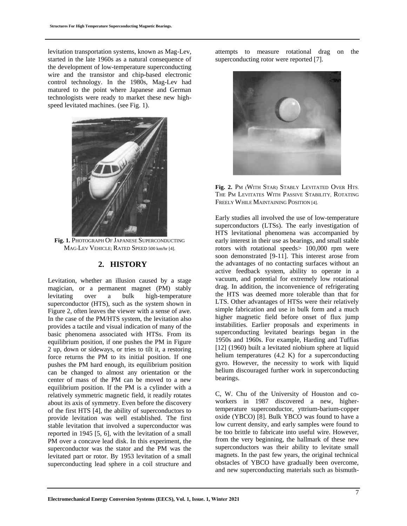levitation transportation systems, known as Mag-Lev, started in the late 1960s as a natural consequence of the development of low-temperature superconducting wire and the transistor and chip-based electronic control technology. In the 1980s, Mag-Lev had matured to the point where Japanese and German technologists were ready to market these new highspeed levitated machines. (see Fig. 1).



**Fig. 1.** PHOTOGRAPH OF JAPANESE SUPERCONDUCTING MAG-LEV VEHICLE; RATED SPEED 500 km/hr [4].

### **2. HISTORY**

Levitation, whether an illusion caused by a stage magician, or a permanent magnet (PM) stably levitating over a bulk high-temperature superconductor (HTS), such as the system shown in Figure 2, often leaves the viewer with a sense of awe. In the case of the PM/HTS system, the levitation also provides a tactile and visual indication of many of the basic phenomena associated with HTSs. From its equilibrium position, if one pushes the PM in Figure 2 up, down or sideways, or tries to tilt it, a restoring force returns the PM to its initial position. If one pushes the PM hard enough, its equilibrium position can be changed to almost any orientation or the center of mass of the PM can be moved to a new equilibrium position. If the PM is a cylinder with a relatively symmetric magnetic field, it readily rotates about its axis of symmetry. Even before the discovery of the first HTS [4], the ability of superconductors to provide levitation was well established. The first stable levitation that involved a superconductor was reported in 1945 [5, 6], with the levitation of a small PM over a concave lead disk. In this experiment, the superconductor was the stator and the PM was the levitated part or rotor. By 1953 levitation of a small superconducting lead sphere in a coil structure and

attempts to measure rotational drag on the superconducting rotor were reported [7].



**Fig. 2.** PM (WITH STAR) STABLY LEVITATED OVER HTS. THE PM LEVITATES WITH PASSIVE STABILITY, ROTATING FREELY WHILE MAINTAINING POSITION [4].

Early studies all involved the use of low-temperature superconductors (LTSs). The early investigation of HTS levitational phenomena was accompanied by early interest in their use as bearings, and small stable rotors with rotational speeds> 100,000 rpm were soon demonstrated [9-11]. This interest arose from the advantages of no contacting surfaces without an active feedback system, ability to operate in a vacuum, and potential for extremely low rotational drag. In addition, the inconvenience of refrigerating the HTS was deemed more tolerable than that for LTS. Other advantages of HTSs were their relatively simple fabrication and use in bulk form and a much higher magnetic field before onset of flux jump instabilities. Earlier proposals and experiments in superconducting levitated bearings began in the 1950s and 1960s. For example, Harding and Tuffias [12] (1960) built a levitated niobium sphere at liquid helium temperatures (4.2 K) for a superconducting gyro. However, the necessity to work with liquid helium discouraged further work in superconducting bearings.

C, W. Chu of the University of Houston and coworkers in 1987 discovered a new, highertemperature superconductor, yttrium-barium-copper oxide (YBCO) [8]. Bulk YBCO was found to have a low current density, and early samples were found to be too brittle to fabricate into useful wire. However, from the very beginning, the hallmark of these new superconductors was their ability to levitate small magnets. In the past few years, the original technical obstacles of YBCO have gradually been overcome, and new superconducting materials such as bismuth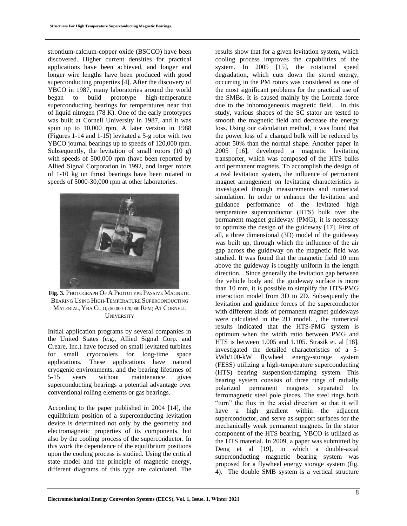strontium-calcium-copper oxide (BSCCO) have been discovered. Higher current densities for practical applications have been achieved, and longer and longer wire lengths have been produced with good superconducting properties [4]. After the discovery of YBCO in 1987, many laboratories around the world began to build prototype high-temperature superconducting bearings for temperatures near that of liquid nitrogen (78 K). One of the early prototypes was built at Cornell University in 1987, and it was spun up to 10,000 rpm. A later version in 1988 (Figures 1-14 and 1-15) levitated a 5-g rotor with two YBCO journal bearings up to speeds of 120,000 rpm. Subsequently, the levitation of small rotors  $(10 \text{ g})$ with speeds of 500,000 rpm (havc been reported by Allied Signal Corporation in 1992, and larger rotors of 1-10 kg on thrust bearings have been rotated to speeds of 5000-30,000 rpm at other laboratories.



**Fig. 3.** PHOTOGRAPH OF A PROTOTYPE PASSIVE MAGNETIC BEARING USING HIGH-TEMPERATURE SUPERCONDUCTING MATERIAL, YBA,CU,O, (50,000-120,000 RPM) AT CORNELL **UNIVERSITY** 

Initial application programs by several companies in the United States (e.g., Allied Signal Corp. and Creare, Inc.) have focused on small levitated turbines for small cryocoolers for long-time space applications. These applications have natural cryogenic environments, and the bearing lifetimes of 5-15 years without maintenance gives superconducting bearings a potential advantage over conventional rolling elements or gas bearings.

According to the paper published in 2004 [14], the equilibrium position of a superconducting levitation device is determined not only by the geometry and electromagnetic properties of its components, but also by the cooling process of the superconductor. In this work the dependence of the equilibrium positions upon the cooling process is studied. Using the critical state model and the principle of magnetic energy, different diagrams of this type are calculated. The

results show that for a given levitation system, which cooling process improves the capabilities of the system. In 2005 [15], the rotational speed degradation, which cuts down the stored energy, occurring in the PM rotors was considered as one of the most significant problems for the practical use of the SMBs. It is caused mainly by the Lorentz force due to the inhomogeneous magnetic field. . In this study, various shapes of the SC stator are tested to smooth the magnetic field and decrease the energy loss. Using our calculation method, it was found that the power loss of a changed bulk will be reduced by about 50% than the normal shape. Another paper in 2005 [16], developed a magnetic levitating transporter, which was composed of the HTS bulks and permanent magnets. To accomplish the design of a real levitation system, the influence of permanent magnet arrangement on levitating characteristics is investigated through measurements and numerical simulation. In order to enhance the levitation and guidance performance of the levitated high temperature superconductor (HTS) bulk over the permanent magnet guideway (PMG), it is necessary to optimize the design of the guideway [17]. First of all, a three dimensional (3D) model of the guideway was built up, through which the influence of the air gap across the guideway on the magnetic field was studied. It was found that the magnetic field 10 mm above the guideway is roughly uniform in the length direction. . Since generally the levitation gap between the vehicle body and the guideway surface is more than 10 mm, it is possible to simplify the HTS-PMG interaction model from 3D to 2D. Subsequently the levitation and guidance forces of the superconductor with different kinds of permanent magnet guideways were calculated in the 2D model. , the numerical results indicated that the HTS-PMG system is optimum when the width ratio between PMG and HTS is between 1.005 and 1.105. Strasik et. al [18], investigated the detailed characteristics of a 5 kWh/100-kW flywheel energy-storage system (FESS) utilizing a high-temperature superconducting (HTS) bearing suspension/damping system. This bearing system consists of three rings of radially polarized permanent magnets separated by ferromagnetic steel pole pieces. The steel rings both "turn" the flux in the axial direction so that it will have a high gradient within the adjacent superconductor, and serve as support surfaces for the mechanically weak permanent magnets. In the stator component of the HTS bearing, YBCO is utilized as the HTS material. In 2009, a paper was submitted by Deng et al [19], in which a double-axial superconducting magnetic bearing system was proposed for a flywheel energy storage system (fig. 4). The double SMB system is a vertical structure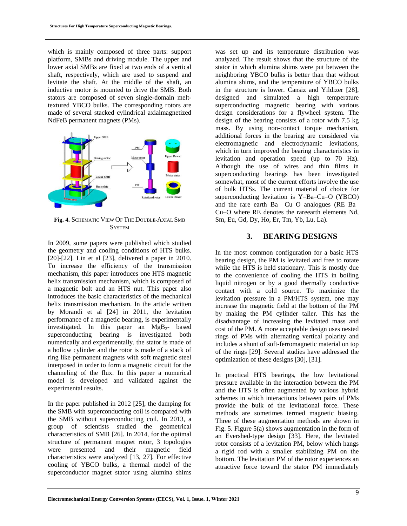which is mainly composed of three parts: support platform, SMBs and driving module. The upper and lower axial SMBs are fixed at two ends of a vertical shaft, respectively, which are used to suspend and levitate the shaft. At the middle of the shaft, an inductive motor is mounted to drive the SMB. Both stators are composed of seven single-domain melttextured YBCO bulks. The corresponding rotors are made of several stacked cylindrical axialmagnetized NdFeB permanent magnets (PMs).



**Fig. 4.** SCHEMATIC VIEW OF THE DOUBLE-AXIAL SMB **SYSTEM** 

In 2009, some papers were published which studied the geometry and cooling conditions of HTS bulks. [20]-[22]. Lin et al [23], delivered a paper in 2010. To increase the efficiency of the transmission mechanism, this paper introduces one HTS magnetic helix transmission mechanism, which is composed of a magnetic bolt and an HTS nut. This paper also introduces the basic characteristics of the mechanical helix transmission mechanism. In the article written by Morandi et al [24] in 2011, the levitation performance of a magnetic bearing, is experimentally investigated. In this paper an  $MgB_2$ - based superconducting bearing is investigated both numerically and experimentally. the stator is made of a hollow cylinder and the rotor is made of a stack of ring like permanent magnets with soft magnetic steel interposed in order to form a magnetic circuit for the channeling of the flux. In this paper a numerical model is developed and validated against the experimental results.

In the paper published in 2012 [25], the damping for the SMB with superconducting coil is compared with the SMB without superconducting coil. In 2013, a group of scientists studied the geometrical characteristics of SMB [26]. In 2014, for the optimal structure of permanent magnet rotor, 3 topologies were presented and their magnetic field characteristics were analyzed [13, 27]. For effective cooling of YBCO bulks, a thermal model of the superconductor magnet stator using alumina shims

was set up and its temperature distribution was analyzed. The result shows that the structure of the stator in which alumina shims were put between the neighboring YBCO bulks is better than that without alumina shims, and the temperature of YBCO bulks in the structure is lower. Cansiz and Yildizer [28], designed and simulated a high temperature superconducting magnetic bearing with various design considerations for a flywheel system. The design of the bearing consists of a rotor with 7.5 kg mass. By using non-contact torque mechanism, additional forces in the bearing are considered via electromagnetic and electrodynamic levitations, which in turn improved the bearing characteristics in levitation and operation speed (up to 70 Hz). Although the use of wires and thin films in superconducting bearings has been investigated somewhat, most of the current efforts involve the use of bulk HTSs. The current material of choice for superconducting levitation is Y–Ba–Cu–O (YBCO) and the rare–earth Ba– Cu–O analogues (RE–Ba– Cu–O where RE denotes the rareearth elements Nd, Sm, Eu, Gd, Dy, Ho, Er, Tm, Yb, Lu, La).

### **3. BEARING DESIGNS**

In the most common configuration for a basic HTS bearing design, the PM is levitated and free to rotate while the HTS is held stationary. This is mostly due to the convenience of cooling the HTS in boiling liquid nitrogen or by a good thermally conductive contact with a cold source. To maximize the levitation pressure in a PM/HTS system, one may increase the magnetic field at the bottom of the PM by making the PM cylinder taller. This has the disadvantage of increasing the levitated mass and cost of the PM. A more acceptable design uses nested rings of PMs with alternating vertical polarity and includes a shunt of soft-ferromagnetic material on top of the rings [29]. Several studies have addressed the optimization of these designs [30], [31].

In practical HTS bearings, the low levitational pressure available in the interaction between the PM and the HTS is often augmented by various hybrid schemes in which interactions between pairs of PMs provide the bulk of the levitational force. These methods are sometimes termed magnetic biasing. Three of these augmentation methods are shown in Fig. 5. Figure 5(a) shows augmentation in the form of an Evershed-type design [33]. Here, the levitated rotor consists of a levitation PM, below which hangs a rigid rod with a smaller stabilizing PM on the bottom. The levitation PM of the rotor experiences an attractive force toward the stator PM immediately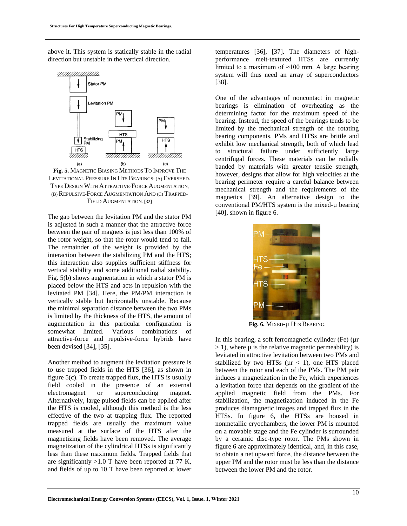above it. This system is statically stable in the radial direction but unstable in the vertical direction.



**Fig. 5.** MAGNETIC BIASING METHODS TO IMPROVE THE LEVITATIONAL PRESSURE IN HTS BEARINGS: (A) EVERSHED-TYPE DESIGN WITH ATTRACTIVE-FORCE AUGMENTATION, (B) REPULSIVE-FORCE AUGMENTATION AND (C) TRAPPED-FIELD AUGMENTATION. [32]

The gap between the levitation PM and the stator PM is adjusted in such a manner that the attractive force between the pair of magnets is just less than 100% of the rotor weight, so that the rotor would tend to fall. The remainder of the weight is provided by the interaction between the stabilizing PM and the HTS; this interaction also supplies sufficient stiffness for vertical stability and some additional radial stability. Fig. 5(b) shows augmentation in which a stator PM is placed below the HTS and acts in repulsion with the levitated PM [34]. Here, the PM/PM interaction is vertically stable but horizontally unstable. Because the minimal separation distance between the two PMs is limited by the thickness of the HTS, the amount of augmentation in this particular configuration is somewhat limited. Various combinations of attractive-force and repulsive-force hybrids have been devised [34], [35].

Another method to augment the levitation pressure is to use trapped fields in the HTS [36], as shown in figure 5(c). To create trapped flux, the HTS is usually field cooled in the presence of an external electromagnet or superconducting magnet. Alternatively, large pulsed fields can be applied after the HTS is cooled, although this method is the less effective of the two at trapping flux. The reported trapped fields are usually the maximum value measured at the surface of the HTS after the magnetizing fields have been removed. The average magnetization of the cylindrical HTSs is significantly less than these maximum fields. Trapped fields that are significantly  $>1.0$  T have been reported at 77 K, and fields of up to 10 T have been reported at lower

temperatures [36], [37]. The diameters of highperformance melt-textured HTSs are currently limited to a maximum of  $\approx 100$  mm. A large bearing system will thus need an array of superconductors [38].

One of the advantages of noncontact in magnetic bearings is elimination of overheating as the determining factor for the maximum speed of the bearing. Instead, the speed of the bearings tends to be limited by the mechanical strength of the rotating bearing components. PMs and HTSs are brittle and exhibit low mechanical strength, both of which lead to structural failure under sufficiently large centrifugal forces. These materials can be radially banded by materials with greater tensile strength, however, designs that allow for high velocities at the bearing perimeter require a careful balance between mechanical strength and the requirements of the magnetics [39]. An alternative design to the conventional PM/HTS system is the mixed-µ bearing [40], shown in figure 6.



**Fig. 6.** MIXED-µ HTS BEARING.

In this bearing, a soft ferromagnetic cylinder (Fe)  $(\mu r)$  $> 1$ ), where  $\mu$  is the relative magnetic permeability) is levitated in attractive levitation between two PMs and stabilized by two HTSs ( $\mu$ r < 1), one HTS placed between the rotor and each of the PMs. The PM pair induces a magnetization in the Fe, which experiences a levitation force that depends on the gradient of the applied magnetic field from the PMs. For stabilization, the magnetization induced in the Fe produces diamagnetic images and trapped flux in the HTSs. In figure 6, the HTSs are housed in nonmetallic cryochambers, the lower PM is mounted on a movable stage and the Fe cylinder is surrounded by a ceramic disc-type rotor. The PMs shown in figure 6 are approximately identical, and, in this case, to obtain a net upward force, the distance between the upper PM and the rotor must be less than the distance between the lower PM and the rotor.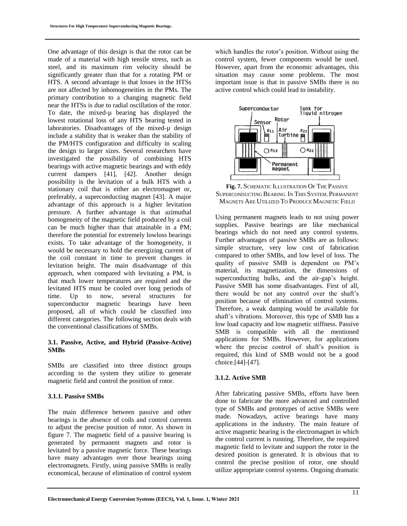One advantage of this design is that the rotor can be made of a material with high tensile stress, such as steel, and its maximum rim velocity should be significantly greater than that for a rotating PM or HTS. A second advantage is that losses in the HTSs are not affected by inhomogeneities in the PMs. The primary contribution to a changing magnetic field near the HTSs is due to radial oscillation of the rotor. To date, the mixed-µ bearing has displayed the lowest rotational loss of any HTS bearing tested in laboratories. Disadvantages of the mixed- $\mu$  design include a stability that is weaker than the stability of the PM/HTS configuration and difficulty in scaling the design to larger sizes. Several researchers have investigated the possibility of combining HTS bearings with active magnetic bearings and with eddy current dampers [41], [42]. Another design possibility is the levitation of a bulk HTS with a stationary coil that is either an electromagnet or, preferably, a superconducting magnet [43]. A major advantage of this approach is a higher levitation pressure. A further advantage is that azimuthal homogeneity of the magnetic field produced by a coil can be much higher than that attainable in a PM; therefore the potential for extremely lowloss bearings exists. To take advantage of the homogeneity, it would be necessary to hold the energizing current of the coil constant in time to prevent changes in levitation height. The main disadvantage of this approach, when compared with levitating a PM, is that much lower temperatures are required and the levitated HTS must be cooled over long periods of time. Up to now, several structures for superconductor magnetic bearings have been proposed, all of which could be classified into different categories. The following section deals with the conventional classifications of SMBs.

#### **3.1. Passive, Active, and Hybrid (Passive-Active) SMBs**

SMBs are classified into three distinct groups according to the system they utilize to generate magnetic field and control the position of rotor.

#### **3.1.1. Passive SMBs**

The main difference between passive and other bearings is the absence of coils and control currents to adjust the precise position of rotor. As shown in figure 7. The magnetic field of a passive bearing is generated by permanent magnets and rotor is levitated by a passive magnetic force. These bearings have many advantages over those bearings using electromagnets. Firstly, using passive SMBs is really economical, because of elimination of control system which handles the rotor's position. Without using the control system, fewer components would be used. However, apart from the economic advantages, this situation may cause some problems. The most important issue is that in passive SMBs there is no active control which could lead to instability.



**Fig. 7.** SCHEMATIC ILLUSTRATION OF THE PASSIVE SUPERCONDUCTING BEARING. IN THIS SYSTEM, PERMANENT MAGNETS ARE UTILIZED TO PRODUCE MAGNETIC FIELD

Using permanent magnets leads to not using power supplies. Passive bearings are like mechanical bearings which do not need any control systems. Further advantages of passive SMBs are as follows: simple structure, very low cost of fabrication compared to other SMBs, and low level of loss. The quality of passive SMB is dependent on PM's material, its magnetization, the dimensions of superconducting bulks, and the air-gap's height. Passive SMB has some disadvantages. First of all, there would be not any control over the shaft's position because of elimination of control systems. Therefore, a weak damping would be available for shaft's vibrations. Moreover, this type of SMB has a low load capacity and low magnetic stiffness. Passive SMB is compatible with all the mentioned applications for SMBs. However, for applications where the precise control of shaft's position is required, this kind of SMB would not be a good choice.[44]-[47].

#### **3.1.2. Active SMB**

After fabricating passive SMBs, efforts have been done to fabricate the more advanced and controlled type of SMBs and prototypes of active SMBs were made. Nowadays, active bearings have many applications in the industry. The main feature of active magnetic bearing is the electromagnet in which the control current is running. Therefore, the required magnetic field to levitate and support the rotor in the desired position is generated. It is obvious that to control the precise position of rotor, one should utilize appropriate control systems. Ongoing dramatic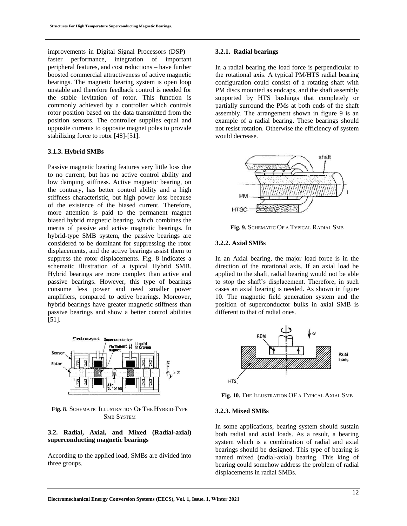improvements in Digital Signal Processors (DSP) – faster performance, integration of important peripheral features, and cost reductions – have further boosted commercial attractiveness of active magnetic bearings. The magnetic bearing system is open loop unstable and therefore feedback control is needed for the stable levitation of rotor. This function is commonly achieved by a controller which controls rotor position based on the data transmitted from the position sensors. The controller supplies equal and opposite currents to opposite magnet poles to provide stabilizing force to rotor [48]-[51].

#### **3.1.3. Hybrid SMBs**

Passive magnetic bearing features very little loss due to no current, but has no active control ability and low damping stiffness. Active magnetic bearing, on the contrary, has better control ability and a high stiffness characteristic, but high power loss because of the existence of the biased current. Therefore, more attention is paid to the permanent magnet biased hybrid magnetic bearing, which combines the merits of passive and active magnetic bearings. In hybrid-type SMB system, the passive bearings are considered to be dominant for suppressing the rotor displacements, and the active bearings assist them to suppress the rotor displacements. Fig. 8 indicates a schematic illustration of a typical Hybrid SMB. Hybrid bearings are more complex than active and passive bearings. However, this type of bearings consume less power and need smaller power amplifiers, compared to active bearings. Moreover, hybrid bearings have greater magnetic stiffness than passive bearings and show a better control abilities [51].



**Fig. 8**. SCHEMATIC ILLUSTRATION OF THE HYBRID-TYPE SMB SYSTEM

#### **3.2. Radial, Axial, and Mixed (Radial-axial) superconducting magnetic bearings**

According to the applied load, SMBs are divided into three groups.

#### **3.2.1. Radial bearings**

In a radial bearing the load force is perpendicular to the rotational axis. A typical PM/HTS radial bearing configuration could consist of a rotating shaft with PM discs mounted as endcaps, and the shaft assembly supported by HTS bushings that completely or partially surround the PMs at both ends of the shaft assembly. The arrangement shown in figure 9 is an example of a radial bearing. These bearings should not resist rotation. Otherwise the efficiency of system would decrease.



**Fig. 9.** SCHEMATIC OF A TYPICAL RADIAL SMB

#### **3.2.2. Axial SMBs**

In an Axial bearing, the major load force is in the direction of the rotational axis. If an axial load be applied to the shaft, radial bearing would not be able to stop the shaft's displacement. Therefore, in such cases an axial bearing is needed. As shown in figure 10. The magnetic field generation system and the position of superconductor bulks in axial SMB is different to that of radial ones.



**Fig. 10.** THE ILLUSTRATION OF A TYPICAL AXIAL SMB

#### **3.2.3. Mixed SMBs**

In some applications, bearing system should sustain both radial and axial loads. As a result, a bearing system which is a combination of radial and axial bearings should be designed. This type of bearing is named mixed (radial-axial) bearing. This king of bearing could somehow address the problem of radial displacements in radial SMBs.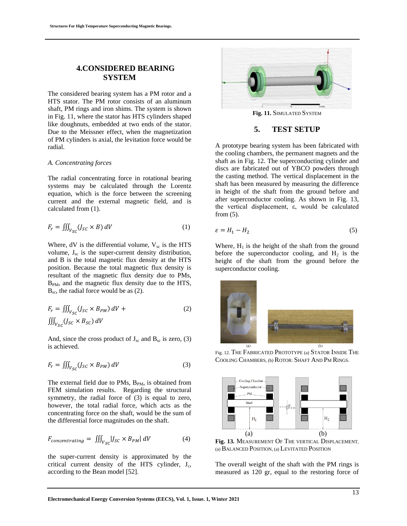### **4.CONSIDERED BEARING SYSTEM**

The considered bearing system has a PM rotor and a HTS stator. The PM rotor consists of an aluminum shaft, PM rings and iron shims. The system is shown in Fig. 11, where the stator has HTS cylinders shaped like doughnuts, embedded at two ends of the stator. Due to the Meissner effect, when the magnetization of PM cylinders is axial, the levitation force would be radial.

#### *A. Concentrating forces*

The radial concentrating force in rotational bearing systems may be calculated through the Lorentz equation, which is the force between the screening current and the external magnetic field, and is calculated from (1).

$$
F_r = \iiint_{V_{SC}} (J_{SC} \times B) \, dV \tag{1}
$$

Where,  $dV$  is the differential volume,  $V_{sc}$  is the HTS volume,  $J_{\rm sc}$  is the super-current density distribution, and B is the total magnetic flux density at the HTS position. Because the total magnetic flux density is resultant of the magnetic flux density due to PMs, B<sub>PM</sub>, and the magnetic flux density due to the HTS,  $B_{\rm sc}$ , the radial force would be as (2).

$$
F_r = \iiint_{V_{SC}} (J_{SC} \times B_{PM}) dV +
$$
  

$$
\iiint_{V_{SC}} (J_{SC} \times B_{SC}) dV
$$
 (2)

And, since the cross product of  $J_{\rm sc}$  and  $B_{\rm sc}$  is zero, (3) is achieved.

$$
F_r = \iiint_{V_{SC}} (J_{SC} \times B_{PM}) dV
$$
 (3)

The external field due to PMs,  $B_{PM}$ , is obtained from FEM simulation results. Regarding the structural symmetry, the radial force of (3) is equal to zero, however, the total radial force, which acts as the concentrating force on the shaft, would be the sum of the differential force magnitudes on the shaft.

$$
F_{concentrating} = \iiint_{V_{SC}} |J_{SC} \times B_{PM}| \, dV \tag{4}
$$

the super-current density is approximated by the critical current density of the HTS cylinder,  $J_c$ , according to the Bean model [52].



## **5. TEST SETUP**

A prototype bearing system has been fabricated with the cooling chambers, the permanent magnets and the shaft as in Fig. 12. The superconducting cylinder and discs are fabricated out of YBCO powders through the casting method. The vertical displacement in the shaft has been measured by measuring the difference in height of the shaft from the ground before and after superconductor cooling. As shown in Fig. 13, the vertical displacement, ε, would be calculated from (5).

$$
\varepsilon = H_1 - H_2 \tag{5}
$$

Where,  $H_1$  is the height of the shaft from the ground before the superconductor cooling, and  $H_2$  is the height of the shaft from the ground before the superconductor cooling.



Fig. 12. THE FABRICATED PROTOTYPE (a) STATOR INSIDE THE COOLING CHAMBERS, (b) ROTOR: SHAFT AND PM RINGS.



**Fig. 13.** MEASUREMENT OF THE VERTICAL DISPLACEMENT, (a) BALANCED POSITION, (a) LEVITATED POSITION

The overall weight of the shaft with the PM rings is measured as 120 gr, equal to the restoring force of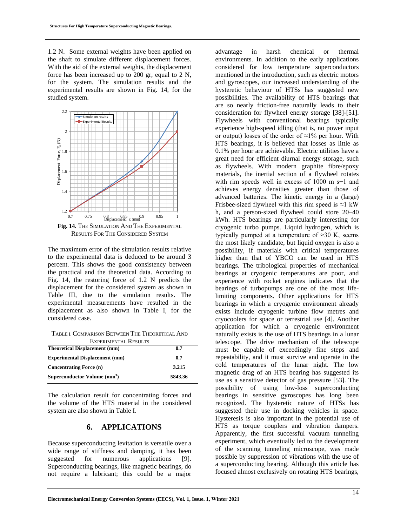1.2 N. Some external weights have been applied on the shaft to simulate different displacement forces. With the aid of the external weights, the displacement force has been increased up to 200 gr, equal to 2 N, for the system. The simulation results and the experimental results are shown in Fig. 14, for the studied system.



**Fig. 14.** THE SIMULATION AND THE EXPERIMENTAL RESULTS FOR THE CONSIDERED SYSTEM

The maximum error of the simulation results relative to the experimental data is deduced to be around 3 percent. This shows the good consistency between the practical and the theoretical data. According to Fig. 14, the restoring force of 1.2 N predicts the displacement for the considered system as shown in Table III, due to the simulation results. The experimental measurements have resulted in the displacement as also shown in Table I, for the considered case.

TABLE I. COMPARISON BETWEEN THE THEORETICAL AND

| <b>EXPERIMENTAL RESULTS</b>              |         |
|------------------------------------------|---------|
| <b>Theoretical Displacement (mm)</b>     | 0.7     |
| <b>Experimental Displacement (mm)</b>    | 0.7     |
| <b>Concentrating Force (n)</b>           | 3.215   |
| Superconductor Volume (mm <sup>3</sup> ) | 5843.36 |

The calculation result for concentrating forces and the volume of the HTS material in the considered system are also shown in Table I.

### **6. APPLICATIONS**

Because superconducting levitation is versatile over a wide range of stiffness and damping, it has been suggested for numerous applications [9]. Superconducting bearings, like magnetic bearings, do not require a lubricant; this could be a major

advantage in harsh chemical or thermal environments. In addition to the early applications considered for low temperature superconductors mentioned in the introduction, such as electric motors and gyroscopes, our increased understanding of the hysteretic behaviour of HTSs has suggested new possibilities. The availability of HTS bearings that are so nearly friction-free naturally leads to their consideration for flywheel energy storage [38]-[51]. Flywheels with conventional bearings typically experience high-speed idling (that is, no power input or output) losses of the order of  $\approx 1\%$  per hour. With HTS bearings, it is believed that losses as little as 0.1% per hour are achievable. Electric utilities have a great need for efficient diurnal energy storage, such as flywheels. With modern graphite fibre/epoxy materials, the inertial section of a flywheel rotates with rim speeds well in excess of 1000 m s−1 and achieves energy densities greater than those of advanced batteries. The kinetic energy in a (large) Frisbee-sized flywheel with this rim speed is  $\approx$ 1 kW h, and a person-sized flywheel could store 20–40 kWh. HTS bearings are particularly interesting for cryogenic turbo pumps. Liquid hydrogen, which is typically pumped at a temperature of  $\approx 30$  K, seems the most likely candidate, but liquid oxygen is also a possibility, if materials with critical temperatures higher than that of YBCO can be used in HTS bearings. The tribological properties of mechanical bearings at cryogenic temperatures are poor, and experience with rocket engines indicates that the bearings of turbopumps are one of the most lifelimiting components. Other applications for HTS bearings in which a cryogenic environment already exists include cryogenic turbine flow metres and cryocoolers for space or terrestrial use [4]. Another application for which a cryogenic environment naturally exists is the use of HTS bearings in a lunar telescope. The drive mechanism of the telescope must be capable of exceedingly fine steps and repeatability, and it must survive and operate in the cold temperatures of the lunar night. The low magnetic drag of an HTS bearing has suggested its use as a sensitive detector of gas pressure [53]. The possibility of using low-loss superconducting bearings in sensitive gyroscopes has long been recognized. The hysteretic nature of HTSs has suggested their use in docking vehicles in space. Hysteresis is also important in the potential use of HTS as torque couplers and vibration dampers. Apparently, the first successful vacuum tunneling experiment, which eventually led to the development of the scanning tunneling microscope, was made possible by suppression of vibrations with the use of a superconducting bearing. Although this article has focused almost exclusively on rotating HTS bearings,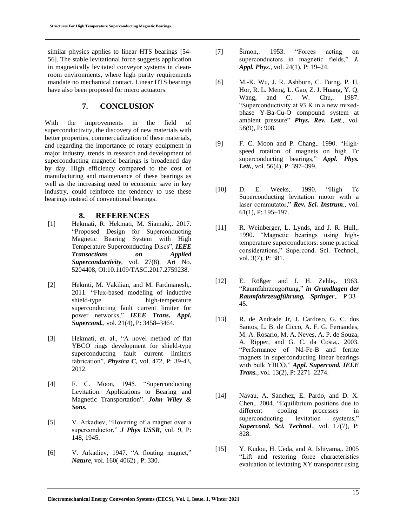similar physics applies to linear HTS bearings [54- 56]. The stable levitational force suggests application in magnetically levitated conveyor systems in cleanroom environments, where high purity requirements mandate no mechanical contact. Linear HTS bearings have also been proposed for micro actuators.

## **7. CONCLUSION**

With the improvements in the field of superconductivity, the discovery of new materials with better properties, commercialization of these materials, and regarding the importance of rotary equipment in major industry, trends in research and development of superconducting magnetic bearings is broadened day by day. High efficiency compared to the cost of manufacturing and maintenance of these bearings as well as the increasing need to economic save in key industry, could reinforce the tendency to use these bearings instead of conventional bearings.

## **8. REFERENCES**

- [1] Hekmati, R. Hekmati, M. Siamaki,. 2017. "Proposed Design for Superconducting Magnetic Bearing System with High Temperature Superconducting Discs", *IEEE Transactions on Applied Superconductivity*, vol. 27(8), Art No. 5204408, OI:10.1109/TASC.2017.2759238.
- [2] Hekmti, M. Vakilian, and M. Fardmanesh,. 2011. "Flux-based modeling of inductive shield-type high-temperature superconducting fault current limiter for power networks," *IEEE Trans. Appl. Supercond.*, vol. 21(4), P: 3458–3464.
- [3] Hekmati, et. al., "A novel method of flat YBCO rings development for shield-type superconducting fault current limiters fabrication", *Physica C*, vol. 472, P: 39-43, 2012.
- [4] F. C. Moon, 1945. "Superconducting Levitation: Applications to Bearing and Magnetic Transportation". *John Wiley & Sons.*
- [5] V. Arkadiev, "Hovering of a magnet over a superconductor," *J Phys USSR*, vol. 9, P: 148, 1945.
- [6] V. Arkadiev, 1947. "A floating magnet," *Nature*, vol. 160( 4062) , P: 330.
- [7] Šimon,. 1953. "Forces acting on superconductors in magnetic fields," *J. Appl. Phys*., vol. 24(1), P: 19–24.
- [8] M.-K. Wu, J. R. Ashburn, C. Torng, P. H. Hor, R. L. Meng, L. Gao, Z. J. Huang, Y. Q. Wang, and C. W. Chu, 1987. "Superconductivity at 93 K in a new mixedphase Y-Ba-Cu-O compound system at ambient pressure" *Phys. Rev. Lett*., vol. 58(9), P: 908.
- [9] F. C. Moon and P. Chang, 1990. "Highspeed rotation of magnets on high Tc superconducting bearings," *Appl. Phys. Lett.*, vol. 56(4), P: 397–399.
- [10] D. E. Weeks,. 1990. "High Tc Superconducting levitation motor with a laser commutator," *Rev. Sci. Instrum*., vol. 61(1), P: 195–197.
- [11] R. Weinberger, L. Lynds, and J. R. Hull,. 1990. "Magnetic bearings using hightemperature superconductors: some practical considerations," Supercond. Sci. Technol., vol. 3(7), P: 381.
- [12] E. Rößger and I. H. Zehle,. 1963. "Raumfahrzeugortung," *in Grundlagen der Raumfahrzeugführung, Springer*,. P:33– 45.
- [13] R. de Andrade Jr, J. Cardoso, G. C. dos Santos, L. B. de Cicco, A. F. G. Fernandes, M. A. Rosario, M. A. Neves, A. P. de Souza, A. Ripper, and G. C. da Costa,. 2003. "Performance of Nd-Fe-B and ferrite magnets in superconducting linear bearings with bulk YBCO," *Appl. Supercond. IEEE Trans.*, vol. 13(2), P: 2271–2274.
- [14] Navau, A. Sanchez, E. Pardo, and D. X. Chen,. 2004. "Equilibrium positions due to different cooling processes in superconducting levitation systems," *Supercond. Sci. Technol*., vol. 17(7), P: 828.
- [15] Y. Kudou, H. Ueda, and A. Ishiyama,. 2005 "Lift and restoring force characteristics evaluation of levitating XY transporter using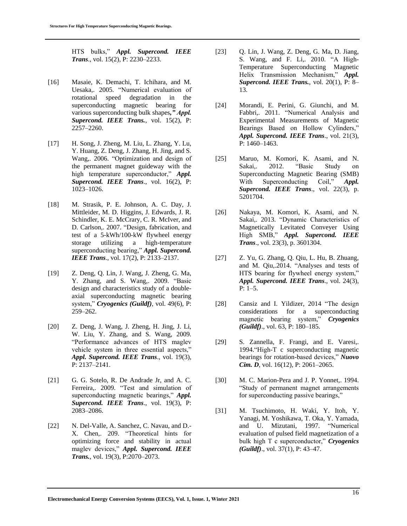HTS bulks," *Appl. Supercond. IEEE Trans*., vol. 15(2), P: 2230–2233.

- [16] Masaie, K. Demachi, T. Ichihara, and M. Uesaka,. 2005. "Numerical evaluation of rotational speed degradation in the superconducting magnetic bearing for various superconducting bulk shapes*," Appl. Supercond. IEEE Trans.*, vol. 15(2), P: 2257–2260.
- [17] H. Song, J. Zheng, M. Liu, L. Zhang, Y. Lu, Y. Huang, Z. Deng, J. Zhang, H. Jing, and S. Wang,. 2006. "Optimization and design of the permanent magnet guideway with the high temperature superconductor," *Appl. Supercond. IEEE Trans*., vol. 16(2), P: 1023–1026.
- [18] M. Strasik, P. E. Johnson, A. C. Day, J. Mittleider, M. D. Higgins, J. Edwards, J. R. Schindler, K. E. McCrary, C. R. McIver, and D. Carlson,. 2007. "Design, fabrication, and test of a 5-kWh/100-kW flywheel energy storage utilizing a high-temperature superconducting bearing," *Appl. Supercond. IEEE Trans*., vol. 17(2), P: 2133–2137.
- [19] Z. Deng, Q. Lin, J. Wang, J. Zheng, G. Ma, Y. Zhang, and S. Wang,. 2009. "Basic design and characteristics study of a doubleaxial superconducting magnetic bearing system," *Cryogenics (Guildf)*, vol. 49(6), P: 259–262.
- [20] Z. Deng, J. Wang, J. Zheng, H. Jing, J. Li, W. Liu, Y. Zhang, and S. Wang, 2009. "Performance advances of HTS maglev vehicle system in three essential aspects," *Appl. Supercond. IEEE Trans*., vol. 19(3), P: 2137–2141.
- [21] G. G. Sotelo, R. De Andrade Jr, and A. C. Ferreira,. 2009. "Test and simulation of superconducting magnetic bearings," *Appl. Supercond. IEEE Trans*., vol. 19(3), P: 2083–2086.
- [22] N. Del-Valle, A. Sanchez, C. Navau, and D.-X. Chen,. 209. "Theoretical hints for optimizing force and stability in actual maglev devices," *Appl. Supercond. IEEE Trans.*, vol. 19(3), P:2070–2073.
- [23] Q. Lin, J. Wang, Z. Deng, G. Ma, D. Jiang, S. Wang, and F. Li,. 2010. "A High-Temperature Superconducting Magnetic Helix Transmission Mechanism," *Appl. Supercond. IEEE Trans.*, vol. 20(1), P: 8– 13.
- [24] Morandi, E. Perini, G. Giunchi, and M. Fabbri,. 2011. "Numerical Analysis and Experimental Measurements of Magnetic Bearings Based on Hollow Cylinders," *Appl. Supercond. IEEE Trans*., vol. 21(3), P: 1460–1463.
- [25] Maruo, M. Komori, K. Asami, and N. Sakai,. 2012. "Basic Study on Superconducting Magnetic Bearing (SMB) With Superconducting Coil," *Appl. Supercond. IEEE Trans*., vol. 22(3), p. 5201704.
- [26] Nakaya, M. Komori, K. Asami, and N. Sakai,. 2013. "Dynamic Characteristics of Magnetically Levitated Conveyer Using High SMB," *Appl. Supercond. IEEE Trans*., vol. 23(3), p. 3601304.
- [27] Z. Yu, G. Zhang, Q. Qiu, L. Hu, B. Zhuang, and M. Qiu,.2014. "Analyses and tests of HTS bearing for flywheel energy system," *Appl. Supercond. IEEE Trans*., vol. 24(3),  $P: 1-5.$
- [28] Cansiz and I. Yildizer, 2014 "The design considerations for a superconducting magnetic bearing system," *Cryogenics (Guildf)*., vol. 63, P: 180–185.
- [29] S. Zannella, F. Frangi, and E. Varesi,. 1994."High-T c superconducting magnetic bearings for rotation-based devices," *Nuovo Cim. D*, vol. 16(12), P: 2061–2065.
- [30] M. C. Marion-Pera and J. P. Yonnet,. 1994. "Study of permanent magnet arrangements for superconducting passive bearings,"
- [31] M. Tsuchimoto, H. Waki, Y. Itoh, Y. Yanagi, M. Yoshikawa, T. Oka, Y. Yamada, and U. Mizutani, 1997. "Numerical evaluation of pulsed field magnetization of a bulk high T c superconductor," *Cryogenics (Guildf)*., vol. 37(1), P: 43–47.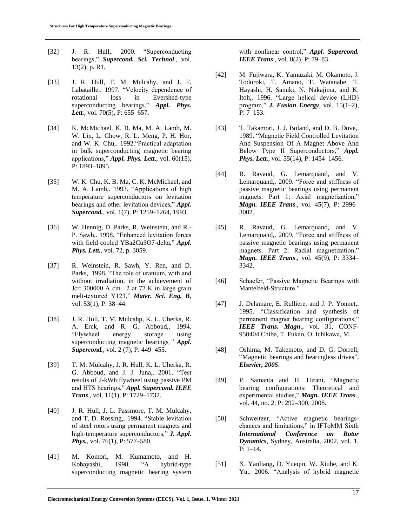- [32] J. R. Hull,. 2000. "Superconducting bearings," *Supercond. Sci. Technol*., vol. 13(2), p. R1.
- [33] J. R. Hull, T. M. Mulcahy, and J. F. Labataille,. 1997. "Velocity dependence of rotational loss in Evershed-type superconducting bearings," *Appl. Phys.*  Lett., vol. 70(5), P: 655–657.
- [34] K. McMichael, K. B. Ma, M. A. Lamb, M. W. Lin, L. Chow, R. L. Meng, P. H. Hor, and W. K. Chu,. 1992."Practical adaptation in bulk superconducting magnetic bearing applications," *Appl. Phys. Lett*., vol. 60(15), P: 1893–1895.
- [35] W. K. Chu, K. B. Ma, C. K. McMichael, and M. A. Lamb,. 1993. "Applications of high temperature superconductors on levitation bearings and other levitation devices," *Appl. Supercond.*, vol. 1(7), P: 1259–1264, 1993.
- [36] W. Hennig, D. Parks, R. Weinstein, and R.-P. Sawh,. 1998. "Enhanced levitation forces with field cooled YBa2Cu3O7-delta," *Appl. Phys. Lett.*, vol. 72, p. 3059.
- [37] R. Weinstein, R. Sawh, Y. Ren, and D. Parks,. 1998. "The role of uranium, with and without irradiation, in the achievement of Jc≈ 300000 A cm− 2 at 77 K in large grain melt-textured Y123," *Mater. Sci. Eng. B*, vol. 53(1), P: 38–44.
- [38] J. R. Hull, T. M. Mulcahp, K. L. Uherka, R. A. Erck, and R. G. Abboud,. 1994. "Flywheel energy storage using superconducting magnetic bearings*," Appl. Supercond.*, vol. 2 (7), P: 449–455.
- [39] T. M. Mulcahy, J. R. Hull, K. L. Uherka, R. G. Abboud, and J. J. Juna,. 2001. "Test results of 2-kWh flywheel using passive PM and HTS bearings," *Appl. Supercond. IEEE Trans*., vol. 11(1), P: 1729–1732.
- [40] J. R. Hull, J. L. Passmore, T. M. Mulcahy, and T. D. Rossing,. 1994. "Stable levitation of steel rotors using permanent magnets and high-temperature superconductors," *J. Appl. Phys.*, vol. 76(1), P: 577–580.
- [41] M. Komori, M. Kumamoto, and H. Kobayashi,. 1998. "A hybrid-type superconducting magnetic bearing system

with nonlinear control," *Appl. Supercond. IEEE Trans*., vol. 8(2), P: 79–83.

- [42] M. Fujiwara, K. Yamazaki, M. Okamoto, J. Todoroki, T. Amano, T. Watanabe, T. Hayashi, H. Sanuki, N. Nakajima, and K. Itoh,. 1996. "Large helical device (LHD) program," *J. Fusion Energy*, vol. 15(1–2), P: 7–153.
- [43] T. Takamori, J. J. Boland, and D. B. Dove,. 1989. "Magnetic Field Controlled Levitation And Suspension Of A Magnet Above And Below Type II Superconductors," *Appl. Phys. Lett.*, vol. 55(14), P: 1454–1456.
- [44] R. Ravaud, G. Lemarquand, and V. Lemarquand,. 2009. "Force and stiffness of passive magnetic bearings using permanent magnets. Part 1: Axial magnetization," *Magn. IEEE Trans*., vol. 45(7), P: 2996– 3002.
- [45] R. Ravaud, G. Lemarquand, and V. Lemarquand,. 2009. "Force and stiffness of passive magnetic bearings using permanent magnets. Part 2: Radial magnetization," *Magn. IEEE Trans*., vol. 45(9), P: 3334– 3342.
- [46] Schaefer, "Passive Magnetic Bearings with Mantelfeld-Structure."
- [47] J. Delamare, E. Rulliere, and J. P. Yonnet,. 1995. "Classification and synthesis of permanent magnet bearing configurations," *IEEE Trans. Magn*., vol. 31, CONF-950404.Chiba, T. Fukao, O. Ichikawa, M.
- [48] Oshima, M. Takemoto, and D. G. Dorrell, "Magnetic bearings and bearingless drives". *Elsevier, 2005*.
- [49] P. Samanta and H. Hirani, "Magnetic bearing configurations: Theoretical and experimental studies," *Magn. IEEE Trans*., vol. 44, no. 2, P: 292–300, 2008.
- [50] Schweitzer, "Active magnetic bearingschances and limitations," in IFToMM Sixth *International Conference on Rotor Dynamics*, Sydney, Australia, 2002, vol. 1, P: 1–14.
- [51] X. Yanliang, D. Yueqin, W. Xiuhe, and K. Yu,. 2006. "Analysis of hybrid magnetic